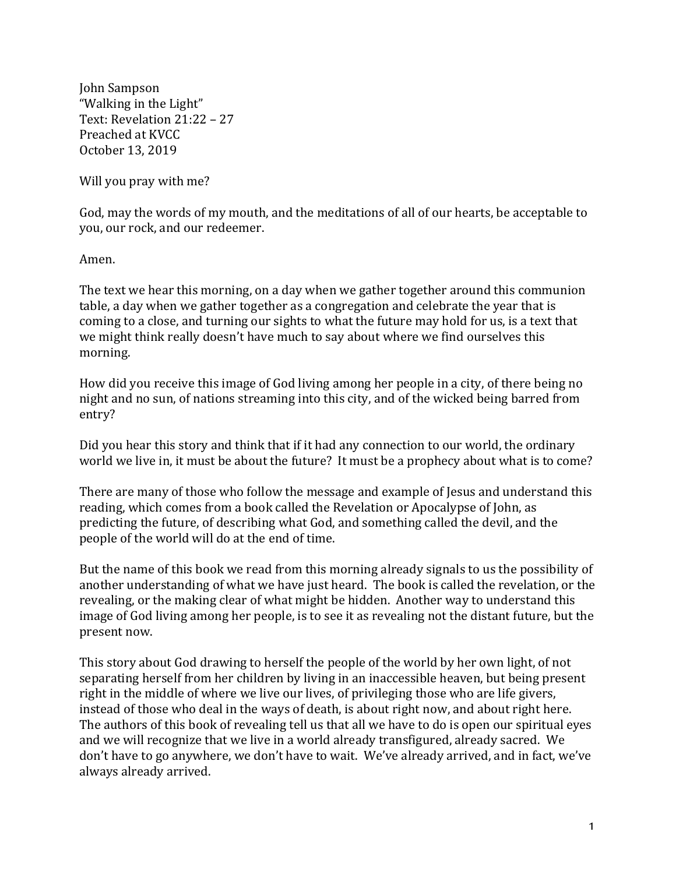John Sampson "Walking in the Light" Text: Revelation 21:22 - 27 Preached at KVCC October 13, 2019

Will you pray with me?

God, may the words of my mouth, and the meditations of all of our hearts, be acceptable to you, our rock, and our redeemer.

Amen.

The text we hear this morning, on a day when we gather together around this communion table, a day when we gather together as a congregation and celebrate the year that is coming to a close, and turning our sights to what the future may hold for us, is a text that we might think really doesn't have much to say about where we find ourselves this morning.

How did you receive this image of God living among her people in a city, of there being no night and no sun, of nations streaming into this city, and of the wicked being barred from entry?

Did you hear this story and think that if it had any connection to our world, the ordinary world we live in, it must be about the future? It must be a prophecy about what is to come?

There are many of those who follow the message and example of Jesus and understand this reading, which comes from a book called the Revelation or Apocalypse of John, as predicting the future, of describing what God, and something called the devil, and the people of the world will do at the end of time.

But the name of this book we read from this morning already signals to us the possibility of another understanding of what we have just heard. The book is called the revelation, or the revealing, or the making clear of what might be hidden. Another way to understand this image of God living among her people, is to see it as revealing not the distant future, but the present now.

This story about God drawing to herself the people of the world by her own light, of not separating herself from her children by living in an inaccessible heaven, but being present right in the middle of where we live our lives, of privileging those who are life givers, instead of those who deal in the ways of death, is about right now, and about right here. The authors of this book of revealing tell us that all we have to do is open our spiritual eyes and we will recognize that we live in a world already transfigured, already sacred. We don't have to go anywhere, we don't have to wait. We've already arrived, and in fact, we've always already arrived.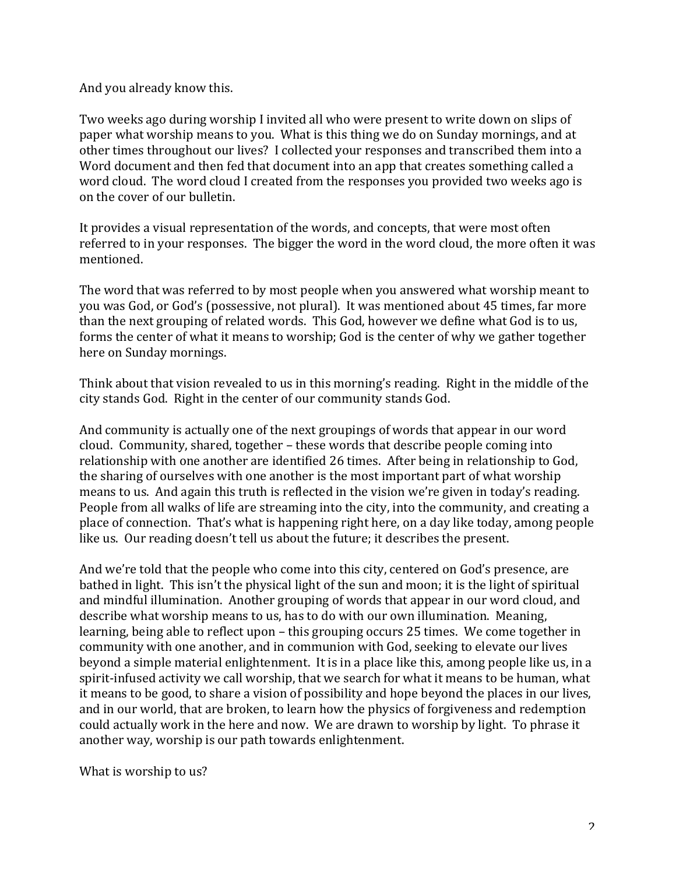And you already know this.

Two weeks ago during worship I invited all who were present to write down on slips of paper what worship means to you. What is this thing we do on Sunday mornings, and at other times throughout our lives? I collected your responses and transcribed them into a Word document and then fed that document into an app that creates something called a word cloud. The word cloud I created from the responses you provided two weeks ago is on the cover of our bulletin.

It provides a visual representation of the words, and concepts, that were most often referred to in your responses. The bigger the word in the word cloud, the more often it was mentioned.

The word that was referred to by most people when you answered what worship meant to you was God, or God's (possessive, not plural). It was mentioned about 45 times, far more than the next grouping of related words. This God, however we define what God is to us, forms the center of what it means to worship; God is the center of why we gather together here on Sunday mornings.

Think about that vision revealed to us in this morning's reading. Right in the middle of the city stands God. Right in the center of our community stands God.

And community is actually one of the next groupings of words that appear in our word cloud. Community, shared, together – these words that describe people coming into relationship with one another are identified 26 times. After being in relationship to God. the sharing of ourselves with one another is the most important part of what worship means to us. And again this truth is reflected in the vision we're given in today's reading. People from all walks of life are streaming into the city, into the community, and creating a place of connection. That's what is happening right here, on a day like today, among people like us. Our reading doesn't tell us about the future; it describes the present.

And we're told that the people who come into this city, centered on God's presence, are bathed in light. This isn't the physical light of the sun and moon; it is the light of spiritual and mindful illumination. Another grouping of words that appear in our word cloud, and describe what worship means to us, has to do with our own illumination. Meaning, learning, being able to reflect upon – this grouping occurs 25 times. We come together in community with one another, and in communion with God, seeking to elevate our lives beyond a simple material enlightenment. It is in a place like this, among people like us, in a spirit-infused activity we call worship, that we search for what it means to be human, what it means to be good, to share a vision of possibility and hope beyond the places in our lives, and in our world, that are broken, to learn how the physics of forgiveness and redemption could actually work in the here and now. We are drawn to worship by light. To phrase it another way, worship is our path towards enlightenment.

What is worship to us?